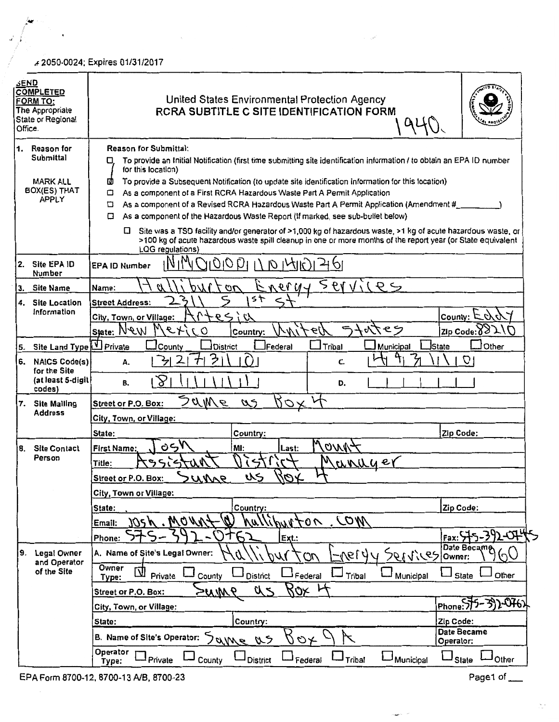,,. 2050-0024; Expires 01/31/2017

| <b>SEND</b><br>Office. | <b>COMPLETED</b><br><b>FORM TO:</b><br>The Appropriate<br>State or Regional | United States Environmental Protection Agency<br><b>RCRA SUBTITLE C SITE IDENTIFICATION FORM</b>                                                                                                                                                                                                                                                                                                                                                                                                                                                                                                                                                                                                                                                                                                                               |                                     |
|------------------------|-----------------------------------------------------------------------------|--------------------------------------------------------------------------------------------------------------------------------------------------------------------------------------------------------------------------------------------------------------------------------------------------------------------------------------------------------------------------------------------------------------------------------------------------------------------------------------------------------------------------------------------------------------------------------------------------------------------------------------------------------------------------------------------------------------------------------------------------------------------------------------------------------------------------------|-------------------------------------|
| 11.                    | Reason for<br>Submittal<br><b>MARK ALL</b><br>BOX(ES) THAT<br>APPLY         | <b>Reason for Submittal:</b><br>To provide an Initial Notification (first time submitting site identification information / to obtain an EPA ID number<br>O<br>for this location)<br>ω<br>To provide a Subsequent Notification (to update site identification information for this location)<br>As a component of a First RCRA Hazardous Waste Part A Permit Application<br>▫<br>As a component of a Revised RCRA Hazardous Waste Part A Permit Application (Amendment #<br>▫<br>As a component of the Hazardous Waste Report (If marked, see sub-bullet below)<br>▫<br>Site was a TSD facility and/or generator of >1,000 kg of hazardous waste, >1 kg of acute hazardous waste, or<br>O.<br>>100 kg of acute hazardous waste spill cleanup in one or more months of the report year (or State equivalent<br>LQG requlations) |                                     |
| i2.                    | Site EPA ID<br>Number                                                       | 19 <i>010</i><br><b>EPA ID Number</b>                                                                                                                                                                                                                                                                                                                                                                                                                                                                                                                                                                                                                                                                                                                                                                                          |                                     |
| IЗ.                    | <b>Site Name</b>                                                            | 561V<br>NQVU<br>$\sigma$<br>Name:                                                                                                                                                                                                                                                                                                                                                                                                                                                                                                                                                                                                                                                                                                                                                                                              |                                     |
| 4.                     | <b>Site Location</b><br>information                                         | っト<br><b>Street Address:</b>                                                                                                                                                                                                                                                                                                                                                                                                                                                                                                                                                                                                                                                                                                                                                                                                   |                                     |
|                        |                                                                             | パンタィ<br>City, Town, or Village:                                                                                                                                                                                                                                                                                                                                                                                                                                                                                                                                                                                                                                                                                                                                                                                                | County: $\mathbb E$<br>L)           |
|                        |                                                                             | セン<br>0.149<br>State: New<br>Country:                                                                                                                                                                                                                                                                                                                                                                                                                                                                                                                                                                                                                                                                                                                                                                                          | $Zip Code:\mathcal{Y}(\mathcal{Y})$ |
| 5.                     | Site Land Type U Private                                                    | <b>JFederal</b><br>ICounty<br><b>District</b><br>Tribal<br>Municipal                                                                                                                                                                                                                                                                                                                                                                                                                                                                                                                                                                                                                                                                                                                                                           | Other<br><b>İ</b> State             |
| 6.                     | NAICS Code(s)<br>for the Site<br>(at least 5-digit)<br>codes)               | 3<br>ヶ<br>C.<br>А.                                                                                                                                                                                                                                                                                                                                                                                                                                                                                                                                                                                                                                                                                                                                                                                                             | O                                   |
|                        |                                                                             | B<br>В.<br>D.                                                                                                                                                                                                                                                                                                                                                                                                                                                                                                                                                                                                                                                                                                                                                                                                                  |                                     |
|                        | 7. Site Mailing                                                             | Sa <u>me</u><br>$\sim$<br>$\omega$<br>Street or P.O. Box:                                                                                                                                                                                                                                                                                                                                                                                                                                                                                                                                                                                                                                                                                                                                                                      |                                     |
|                        | <b>Address</b>                                                              | City, Town, or Village:                                                                                                                                                                                                                                                                                                                                                                                                                                                                                                                                                                                                                                                                                                                                                                                                        |                                     |
|                        |                                                                             | State:<br>Country:                                                                                                                                                                                                                                                                                                                                                                                                                                                                                                                                                                                                                                                                                                                                                                                                             | Zip Code:                           |
| 8.                     | <b>Site Contact</b><br>Person                                               | لرین<br>$100\%$<br><b>First Name:</b><br>MI:<br>Last:                                                                                                                                                                                                                                                                                                                                                                                                                                                                                                                                                                                                                                                                                                                                                                          |                                     |
|                        |                                                                             | UNUUE<br>Title:                                                                                                                                                                                                                                                                                                                                                                                                                                                                                                                                                                                                                                                                                                                                                                                                                |                                     |
|                        |                                                                             | Apt<br>╰<br>いん<br>un<br>Street or P.O. Box:                                                                                                                                                                                                                                                                                                                                                                                                                                                                                                                                                                                                                                                                                                                                                                                    |                                     |
|                        |                                                                             | City, Town or Village:                                                                                                                                                                                                                                                                                                                                                                                                                                                                                                                                                                                                                                                                                                                                                                                                         |                                     |
|                        |                                                                             | Country:<br>State:                                                                                                                                                                                                                                                                                                                                                                                                                                                                                                                                                                                                                                                                                                                                                                                                             | Zip Code:                           |
|                        |                                                                             | $100M$ . MOVin<br>Malliburton COM<br>Email:                                                                                                                                                                                                                                                                                                                                                                                                                                                                                                                                                                                                                                                                                                                                                                                    |                                     |
|                        |                                                                             | Phone:<br>Ext.:                                                                                                                                                                                                                                                                                                                                                                                                                                                                                                                                                                                                                                                                                                                                                                                                                | 392-074<br>Fax: S                   |
| 9.                     | Legal Owner<br>and Operator<br>of the Site                                  | A. Name of Site's Legal Owner:<br>7611,767<br>419/L-<br>$\omega$<br>М                                                                                                                                                                                                                                                                                                                                                                                                                                                                                                                                                                                                                                                                                                                                                          | Date Became<br>いく<br>Owner:         |
|                        |                                                                             | Owner<br>$\overline{\mathsf{U}}$ Private<br>Federal<br>Municipal<br><b>District</b><br>Tribal<br>County<br>Type:                                                                                                                                                                                                                                                                                                                                                                                                                                                                                                                                                                                                                                                                                                               | Other<br>State                      |
|                        |                                                                             | ROX<br>a<br>9MN<br>Street or P.O. Box:                                                                                                                                                                                                                                                                                                                                                                                                                                                                                                                                                                                                                                                                                                                                                                                         |                                     |
|                        |                                                                             | City, Town, or Village:                                                                                                                                                                                                                                                                                                                                                                                                                                                                                                                                                                                                                                                                                                                                                                                                        | $Phome:55-$<br>392-0762             |
|                        |                                                                             | Country:<br>State:                                                                                                                                                                                                                                                                                                                                                                                                                                                                                                                                                                                                                                                                                                                                                                                                             | Zip Code:                           |
|                        |                                                                             | B. Name of Site's Operator:<br>Same<br>やん<br>ダン                                                                                                                                                                                                                                                                                                                                                                                                                                                                                                                                                                                                                                                                                                                                                                                | Date Became<br>Operator:            |
|                        |                                                                             | Operator<br>Private<br>→ County<br><b>District</b><br>Federal<br>– Tribal<br>Municipal<br>Type:                                                                                                                                                                                                                                                                                                                                                                                                                                                                                                                                                                                                                                                                                                                                | Other<br>State                      |

EPA Form 8700-12, 8700-13 A/B, 8700-23 Page1 of  $\frac{1}{2}$ 

بالمني

 $\frac{1}{\sqrt{2}}$  .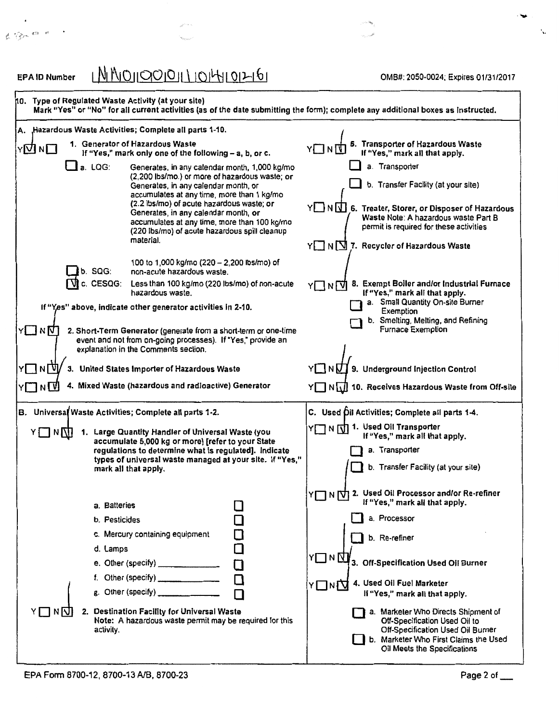| <b>EPAID Number</b>  |                      | <u>MMOIQOIOILLIOIHIOIHI6I</u>                                                                                                                                                                                                                                                                                                                                                            |        | OMB#: 2050-0024; Expires 01/31/2017                                                                                                                                                                                                                   |
|----------------------|----------------------|------------------------------------------------------------------------------------------------------------------------------------------------------------------------------------------------------------------------------------------------------------------------------------------------------------------------------------------------------------------------------------------|--------|-------------------------------------------------------------------------------------------------------------------------------------------------------------------------------------------------------------------------------------------------------|
|                      |                      | 10. Type of Regulated Waste Activity (at your site)                                                                                                                                                                                                                                                                                                                                      |        | Mark "Yes" or "No" for all current activities (as of the date submitting the form); complete any additional boxes as instructed.                                                                                                                      |
| А.                   |                      | , Hazardous Waste Activities; Complete all parts 1-10.                                                                                                                                                                                                                                                                                                                                   |        |                                                                                                                                                                                                                                                       |
| Y <b>⊡</b> N□        |                      | 1. Generator of Hazardous Waste<br>If "Yes," mark only one of the following - a, b, or c.                                                                                                                                                                                                                                                                                                |        | 5. Transporter of Hazardous Waste<br>If "Yes," mark all that apply.                                                                                                                                                                                   |
|                      | a. LQG:              | Generates, in any calendar month, 1,000 kg/mo<br>(2,200 lbs/mo.) or more of hazardous waste; or<br>Generates, in any calendar month, or<br>accumulates at any time, more than 1 kg/mo<br>(2.2 lbs/mo) of acute hazardous waste; or<br>Generates, in any calendar month, or<br>accumulates at any time, more than 100 kg/mo<br>(220 lbs/mo) of acute hazardous spill cleanup<br>material. |        | a. Transporter<br>b. Transfer Facility (at your site)<br>Y NN 6. Treater, Storer, or Disposer of Hazardous<br>Waste Note: A hazardous waste Part B<br>permit is required for these activities<br>$Y \square N \square$ 7. Recycler of Hazardous Waste |
|                      | b. SQG:<br>c. CESQG: | 100 to 1,000 kg/mo (220 - 2,200 lbs/mo) of<br>non-acute hazardous waste.<br>Less than 100 kg/mo (220 lbs/mo) of non-acute<br>hazardous waste.                                                                                                                                                                                                                                            |        | 8. Exempt Boiler and/or Industrial Furnace<br>Y□NŪ<br>If "Yes," mark all that apply.                                                                                                                                                                  |
| ר¶א⊡ץ                |                      | If "Yes" above, indicate other generator activities in 2-10.<br>2. Short-Term Generator (generate from a short-term or one-time                                                                                                                                                                                                                                                          |        | a. Small Quantity On-site Burner<br>Exemption<br>b. Smelting, Melting, and Refining<br>Furnace Exemption                                                                                                                                              |
|                      |                      | event and not from on-going processes). If "Yes," provide an<br>explanation in the Comments section.                                                                                                                                                                                                                                                                                     |        |                                                                                                                                                                                                                                                       |
| NM<br>YП             |                      | 3. United States Importer of Hazardous Waste                                                                                                                                                                                                                                                                                                                                             |        | Y N N 9. Underground Injection Control                                                                                                                                                                                                                |
| Y▔▌N▁ <mark>\</mark> |                      | 4. Mixed Waste (hazardous and radioactive) Generator                                                                                                                                                                                                                                                                                                                                     |        | Y N M 10. Receives Hazardous Waste from Off-site                                                                                                                                                                                                      |
|                      |                      | B. Universal Waste Activities; Complete all parts 1-2.                                                                                                                                                                                                                                                                                                                                   |        | C. Used Oil Activities; Complete all parts 1-4.                                                                                                                                                                                                       |
| ⋎□ハ∏                 |                      | Y N [J] 1. Used Oil Transporter<br>1. Large Quantity Handler of Universal Waste (you<br>If "Yes," mark all that apply.<br>accumulate 5,000 kg or more) [refer to your State                                                                                                                                                                                                              |        |                                                                                                                                                                                                                                                       |
|                      |                      | regulations to determine what is regulated]. Indicate                                                                                                                                                                                                                                                                                                                                    |        | a. Transporter                                                                                                                                                                                                                                        |
|                      |                      | types of universal waste managed at your site. If "Yes,"<br>mark all that apply.                                                                                                                                                                                                                                                                                                         |        | b. Transfer Facility (at your site)                                                                                                                                                                                                                   |
|                      | a. Batteries         |                                                                                                                                                                                                                                                                                                                                                                                          |        | Y   IN   V   2. Used Oil Processor and/or Re-refiner<br>If "Yes," mark all that apply.                                                                                                                                                                |
|                      | b. Pesticides        |                                                                                                                                                                                                                                                                                                                                                                                          |        | a. Processor                                                                                                                                                                                                                                          |
|                      |                      | c. Mercury containing equipment                                                                                                                                                                                                                                                                                                                                                          |        | b. Re-refiner                                                                                                                                                                                                                                         |
|                      | d. Lamps             | e. Other (specify) ______________                                                                                                                                                                                                                                                                                                                                                        | $\Box$ | <b>Y□N∆</b><br>3. Off-Specification Used Oil Burner                                                                                                                                                                                                   |
|                      |                      | f. Other (specify) ________________<br>g. Other (specify) _____________                                                                                                                                                                                                                                                                                                                  |        | 4. Used Oil Fuel Marketer<br>⋎□ <sub>N</sub> ∏<br>If "Yes," mark all that apply.                                                                                                                                                                      |
| YIINN                | activity.            | 2. Destination Facility for Universal Waste<br>Note: A hazardous waste permit may be required for this                                                                                                                                                                                                                                                                                   |        | a. Marketer Who Directs Shipment of<br>Off-Specification Used Oil to<br>Off-Specification Used Oil Burner<br>b. Marketer Who First Claims the Used<br>Oil Meets the Specifications                                                                    |

 $\sigma^{S^{(1)}(1-\eta)}$ 

 $\mathbf{x}_{\text{norm}}$ 

## EPA Form 8700-12, 8700-13 AJB, 8700-23

 $\ddot{\phantom{1}}$ 

 $\begin{array}{ccccccccc} \ell & \ell & \ell & & \ell & & \ell \end{array}$ 

....

الم<br>المحصون بردا

 $\bar{\zeta}$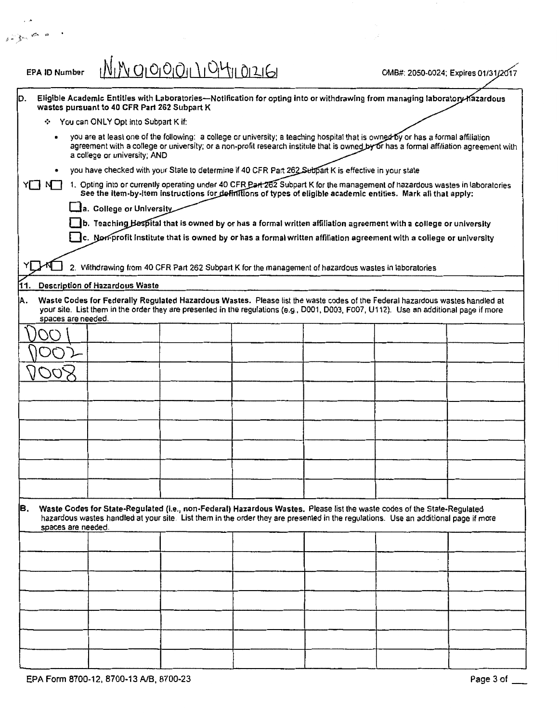| <b>EPA ID Number</b> |                                                                                                                                                                                                                                                                                                            | <u>NIN 910001110411012161</u>                                                                                  |  | OMB#: 2050-0024; Expires 01/31/20 |  |
|----------------------|------------------------------------------------------------------------------------------------------------------------------------------------------------------------------------------------------------------------------------------------------------------------------------------------------------|----------------------------------------------------------------------------------------------------------------|--|-----------------------------------|--|
| D.                   | Eligible Academic Entities with Laboratories--Notification for opting into or withdrawing from managing laboratory-hazardous<br>wastes pursuant to 40 CFR Part 262 Subpart K                                                                                                                               |                                                                                                                |  |                                   |  |
|                      | ❖ You can ONLY Opt into Subpart K if:                                                                                                                                                                                                                                                                      |                                                                                                                |  |                                   |  |
|                      | you are at least one of the following: a college or university; a teaching hospital that is owned by or has a formal affiliation<br>agreement with a college or university; or a non-profit research institute that is owned by or has a formal affiliation agreement with<br>a college or university; AND |                                                                                                                |  |                                   |  |
|                      | you have checked with your State to determine if 40 CFR Part 262 Subpart K is effective in your state                                                                                                                                                                                                      |                                                                                                                |  |                                   |  |
| YINT                 | 1. Opting into or currently operating under 40 CFR Part 262 Subpart K for the management of hazardous wastes in laboratories                                                                                                                                                                               | See the item-by-item instructions for definitions of types of eligible academic entities. Mark all that apply: |  |                                   |  |
|                      | a. College or University                                                                                                                                                                                                                                                                                   |                                                                                                                |  |                                   |  |
|                      | b. Teaching Hespital that is owned by or has a formal written affiliation agreement with a college or university                                                                                                                                                                                           |                                                                                                                |  |                                   |  |
|                      | $\Box$ c. Non-profit institute that is owned by or has a formal written affiliation agreement with a college or university                                                                                                                                                                                 |                                                                                                                |  |                                   |  |
|                      | 2. Withdrawing from 40 CFR Part 262 Subpart K for the management of hazardous wastes in laboratories                                                                                                                                                                                                       |                                                                                                                |  |                                   |  |
| 11.                  | <b>Description of Hazardous Waste</b>                                                                                                                                                                                                                                                                      |                                                                                                                |  |                                   |  |
| IA.                  | Waste Codes for Federally Regulated Hazardous Wastes. Please list the waste codes of the Federal hazardous wastes handled at<br>your site. List them in the order they are presented in the regulations (e.g., D001, D003, F007, U112). Use an additional page if more<br>spaces are needed.               |                                                                                                                |  |                                   |  |
|                      |                                                                                                                                                                                                                                                                                                            |                                                                                                                |  |                                   |  |
|                      |                                                                                                                                                                                                                                                                                                            |                                                                                                                |  |                                   |  |
|                      |                                                                                                                                                                                                                                                                                                            |                                                                                                                |  |                                   |  |
|                      |                                                                                                                                                                                                                                                                                                            |                                                                                                                |  |                                   |  |
|                      |                                                                                                                                                                                                                                                                                                            |                                                                                                                |  |                                   |  |
|                      |                                                                                                                                                                                                                                                                                                            |                                                                                                                |  |                                   |  |
|                      |                                                                                                                                                                                                                                                                                                            |                                                                                                                |  |                                   |  |
|                      |                                                                                                                                                                                                                                                                                                            |                                                                                                                |  |                                   |  |
|                      |                                                                                                                                                                                                                                                                                                            |                                                                                                                |  |                                   |  |
|                      |                                                                                                                                                                                                                                                                                                            |                                                                                                                |  |                                   |  |
|                      |                                                                                                                                                                                                                                                                                                            |                                                                                                                |  |                                   |  |
| B.                   | Waste Codes for State-Regulated (i.e., non-Federal) Hazardous Wastes. Please list the waste codes of the State-Regulated<br>hazardous wastes handled at your site. List them in the order they are presented in the regulations. Use an additional page if more<br>spaces are needed.                      |                                                                                                                |  |                                   |  |
|                      |                                                                                                                                                                                                                                                                                                            |                                                                                                                |  |                                   |  |
|                      |                                                                                                                                                                                                                                                                                                            |                                                                                                                |  |                                   |  |
|                      |                                                                                                                                                                                                                                                                                                            |                                                                                                                |  |                                   |  |
|                      |                                                                                                                                                                                                                                                                                                            |                                                                                                                |  |                                   |  |
|                      |                                                                                                                                                                                                                                                                                                            |                                                                                                                |  |                                   |  |
|                      |                                                                                                                                                                                                                                                                                                            |                                                                                                                |  |                                   |  |
|                      |                                                                                                                                                                                                                                                                                                            |                                                                                                                |  |                                   |  |
|                      |                                                                                                                                                                                                                                                                                                            |                                                                                                                |  |                                   |  |

...

 $i$  ) for  $\infty$  is